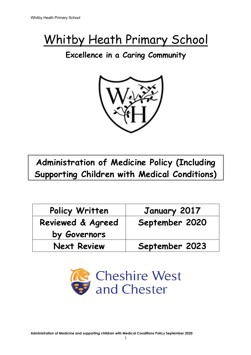# Whitby Heath Primary School

# **Excellence in a Caring Community**



**Administration of Medicine Policy (Including Supporting Children with Medical Conditions)**

| Policy Written     | January 2017   |
|--------------------|----------------|
| Reviewed & Agreed  | September 2020 |
| by Governors       |                |
| <b>Next Review</b> | September 2023 |

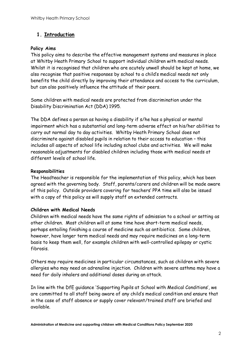#### **1. Introduction**

#### **Policy Aims**

This policy aims to describe the effective management systems and measures in place at Whitby Heath Primary School to support individual children with medical needs. Whilst it is recognised that children who are acutely unwell should be kept at home, we also recognise that positive responses by school to a child's medical needs not only benefits the child directly by improving their attendance and access to the curriculum, but can also positively influence the attitude of their peers.

Some children with medical needs are protected from discrimination under the Disability Discrimination Act (DDA) 1995.

The DDA defines a person as having a disability if s/he has a physical or mental impairment which has a substantial and long-term adverse effect on his/her abilities to carry out normal day to day activities. Whitby Heath Primary School does not discriminate against disabled pupils in relation to their access to education – this includes all aspects of school life including school clubs and activities. We will make reasonable adjustments for disabled children including those with medical needs at different levels of school life.

#### **Responsibilities**

The Headteacher is responsible for the implementation of this policy, which has been agreed with the governing body. Staff, parents/carers and children will be made aware of this policy. Outside providers covering for teachers' PPA time will also be issued with a copy of this policy as will supply staff on extended contracts.

#### **Children with Medical Needs**

Children with medical needs have the same rights of admission to a school or setting as other children. Most children will at some time have short-term medical needs, perhaps entailing finishing a course of medicine such as antibiotics. Some children, however, have longer term medical needs and may require medicines on a long-term basis to keep them well, for example children with well-controlled epilepsy or cystic fibrosis.

Others may require medicines in particular circumstances, such as children with severe allergies who may need an adrenaline injection. Children with severe asthma may have a need for daily inhalers and additional doses during an attack.

In line with the DfE guidance 'Supporting Pupils at School with Medical Conditions', we are committed to all staff being aware of any child's medical condition and ensure that in the case of staff absence or supply cover relevant/trained staff are briefed and available.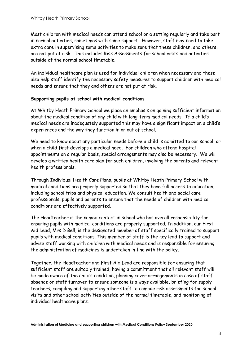Most children with medical needs can attend school or a setting regularly and take part in normal activities, sometimes with some support. However, staff may need to take extra care in supervising some activities to make sure that these children, and others, are not put at risk. This includes Risk Assessments for school visits and activities outside of the normal school timetable.

An individual healthcare plan is used for individual children when necessary and these also help staff identify the necessary safety measures to support children with medical needs and ensure that they and others are not put at risk.

#### **Supporting pupils at school with medical conditions**

At Whitby Heath Primary School we place an emphasis on gaining sufficient information about the medical condition of any child with long-term medical needs. If a child's medical needs are inadequately supported this may have a significant impact on a child's experiences and the way they function in or out of school.

We need to know about any particular needs before a child is admitted to our school, or when a child first develops a medical need. For children who attend hospital appointments on a regular basis, special arrangements may also be necessary. We will develop a written health care plan for such children, involving the parents and relevant health professionals.

Through Individual Health Care Plans, pupils at Whitby Heath Primary School with medical conditions are properly supported so that they have full access to education, including school trips and physical education. We consult health and social care professionals, pupils and parents to ensure that the needs of children with medical conditions are effectively supported.

The Headteacher is the named contact in school who has overall responsibility for ensuring pupils with medical conditions are properly supported. In addition, our First Aid Lead, Mrs D Bell, is the designated member of staff specifically trained to support pupils with medical conditions. This member of staff is the key lead to support and advise staff working with children with medical needs and is responsible for ensuring the administration of medicines is undertaken in-line with the policy.

Together, the Headteacher and First Aid Lead are responsible for ensuring that sufficient staff are suitably trained, having a commitment that all relevant staff will be made aware of the child's condition, planning cover arrangements in case of staff absence or staff turnover to ensure someone is always available, briefing for supply teachers, compiling and supporting other staff to compile risk assessments for school visits and other school activities outside of the normal timetable, and monitoring of individual healthcare plans.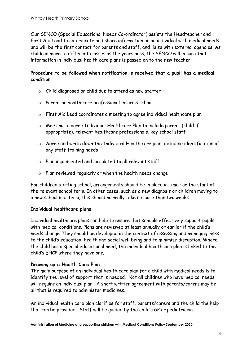Our SENCO (Special Educational Needs Co-ordinator) assists the Headteacher and First Aid Lead to co-ordinate and share information on an individual with medical needs and will be the first contact for parents and staff, and liaise with external agencies. As children move to different classes as the years pass, the SENCO will ensure that information in individual health care plans is passed on to the new teacher.

#### **Procedure to be followed when notification is received that a pupil has a medical condition**

- o Child diagnosed or child due to attend as new starter
- o Parent or health care professional informs school
- o First Aid Lead coordinates a meeting to agree individual healthcare plan
- o Meeting to agree Individual Healthcare Plan to include parent, (child if appropriate), relevant healthcare professionals, key school staff
- o Agree and write down the Individual Health care plan, including identification of any staff training needs
- o Plan implemented and circulated to all relevant staff
- o Plan reviewed regularly or when the health needs change

For children starting school, arrangements should be in place in time for the start of the relevant school term. In other cases, such as a new diagnosis or children moving to a new school mid-term, this should normally take no more than two weeks.

#### **Individual healthcare plans**

Individual healthcare plans can help to ensure that schools effectively support pupils with medical conditions. Plans are reviewed at least annually or earlier if the child's needs change. They should be developed in the context of assessing and managing risks to the child's education, health and social well being and to minimise disruption. Where the child has a special educational need, the individual healthcare plan is linked to the child's EHCP where they have one.

#### **Drawing up a Health Care Plan**

The main purpose of an individual health care plan for a child with medical needs is to identify the level of support that is needed. Not all children who have medical needs will require an individual plan. A short written agreement with parents/carers may be all that is required to administer medicines.

An individual health care plan clarifies for staff, parents/carers and the child the help that can be provided. Staff will be guided by the child's GP or pediatrician.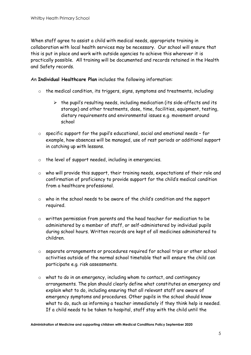When staff agree to assist a child with medical needs, appropriate training in collaboration with local health services may be necessary. Our school will ensure that this is put in place and work with outside agencies to achieve this wherever it is practically possible. All training will be documented and records retained in the Health and Safety records.

An **Individual Healthcare Plan** includes the following information:

- o the medical condition, its triggers, signs, symptoms and treatments, including:
	- $\triangleright$  the pupil's resulting needs, including medication (its side-affects and its storage) and other treatments, dose, time, facilities, equipment, testing, dietary requirements and environmental issues e.g. movement around school
- o specific support for the pupil's educational, social and emotional needs for example, how absences will be managed, use of rest periods or additional support in catching up with lessons.
- o the level of support needed, including in emergencies.
- o who will provide this support, their training needs, expectations of their role and confirmation of proficiency to provide support for the child's medical condition from a healthcare professional.
- o who in the school needs to be aware of the child's condition and the support required.
- o written permission from parents and the head teacher for medication to be administered by a member of staff, or self-administered by individual pupils during school hours. Written records are kept of all medicines administered to children.
- o separate arrangements or procedures required for school trips or other school activities outside of the normal school timetable that will ensure the child can participate e.g. risk assessments.
- o what to do in an emergency, including whom to contact, and contingency arrangements. The plan should clearly define what constitutes an emergency and explain what to do, including ensuring that all relevant staff are aware of emergency symptoms and procedures. Other pupils in the school should know what to do, such as informing a teacher immediately if they think help is needed. If a child needs to be taken to hospital, staff stay with the child until the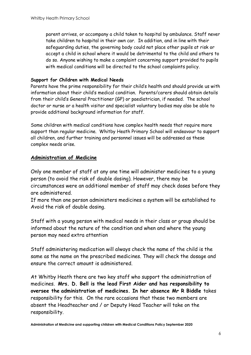parent arrives, or accompany a child taken to hospital by ambulance. Staff never take children to hospital in their own car. In addition, and in line with their safeguarding duties, the governing body could not place other pupils at risk or accept a child in school where it would be detrimental to the child and others to do so. Anyone wishing to make a complaint concerning support provided to pupils with medical conditions will be directed to the school complaints policy.

#### **Support for Children with Medical Needs**

Parents have the prime responsibility for their child's health and should provide us with information about their child's medical condition. Parents/carers should obtain details from their child's General Practitioner (GP) or paediatrician, if needed. The school doctor or nurse or a health visitor and specialist voluntary bodies may also be able to provide additional background information for staff.

Some children with medical conditions have complex health needs that require more support than regular medicine. Whitby Heath Primary School will endeavour to support all children, and further training and personnel issues will be addressed as these complex needs arise.

#### **Administration of Medicine**

Only one member of staff at any one time will administer medicines to a young person (to avoid the risk of double dosing). However, there may be circumstances were an additional member of staff may check doses before they are administered.

If more than one person administers medicines a system will be established to Avoid the risk of double dosing.

Staff with a young person with medical needs in their class or group should be informed about the nature of the condition and when and where the young person may need extra attention

Staff administering medication will always check the name of the child is the same as the name on the prescribed medicines. They will check the dosage and ensure the correct amount is administered.

At Whitby Heath there are two key staff who support the administration of medicines. **Mrs. D. Bell is the lead First Aider and has responsibility to oversee the administration of medicines. In her absence Mr R Biddle** takes responsibility for this. On the rare occasions that these two members are absent the Headteacher and / or Deputy Head Teacher will take on the responsibility.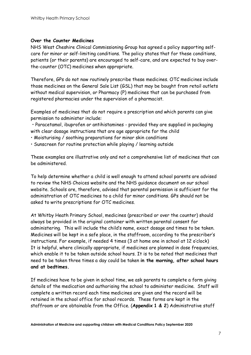#### **Over the Counter Medicines**

NHS West Cheshire Clinical Commissioning Group has agreed a policy supporting selfcare for minor or self-limiting conditions. The policy states that for these conditions, patients (or their parents) are encouraged to self-care, and are expected to buy overthe-counter (OTC) medicines when appropriate.

Therefore, GPs do not now routinely prescribe these medicines. OTC medicines include those medicines on the General Sale List (GSL) that may be bought from retail outlets without medical supervision, or Pharmacy (P) medicines that can be purchased from registered pharmacies under the supervision of a pharmacist.

Examples of medicines that do not require a prescription and which parents can give permission to administer include:

• Paracetamol, ibuprofen or antihistamines - provided they are supplied in packaging with clear dosage instructions that are age appropriate for the child

- Moisturising / soothing preparations for minor skin conditions
- Sunscreen for routine protection while playing / learning outside

These examples are illustrative only and not a comprehensive list of medicines that can be administered.

To help determine whether a child is well enough to attend school parents are advised to review the NHS Choices website and the NHS guidance document on our school website. Schools are, therefore, advised that parental permission is sufficient for the administration of OTC medicines to a child for minor conditions. GPs should not be asked to write prescriptions for OTC medicines.

At Whitby Heath Primary School, medicines (prescribed or over the counter) should always be provided in the original container with written parental consent for administering. This will include the child's name, exact dosage and times to be taken. Medicines will be kept in a safe place, in the staffroom, according to the prescriber's instructions. For example, if needed 4 times (3 at home one in school at 12 o'clock) It is helpful, where clinically appropriate, if medicines are planned in dose frequencies, which enable it to be taken outside school hours. It is to be noted that medicines that need to be taken three times a day could be taken **in the morning, after school hours and at bedtimes.**

If medicines have to be given in school time, we ask parents to complete a form giving details of the medication and authorising the school to administer medicine. Staff will complete a written record each time medicines are given and the record will be retained in the school office for school records. These forms are kept in the staffroom or are obtainable from the Office. (**Appendix 1 & 2**) Administrative staff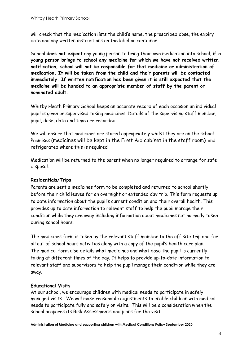will check that the medication lists the child's name, the prescribed dose, the expiry date and any written instructions on the label or container.

School **does not expect** any young person to bring their own medication into school, **if a young person brings to school any medicine for which we have not received written notification, school will not be responsible for that medicine or administration of medication. It will be taken from the child and their parents will be contacted immediately. If written notification has been given it is still expected that the medicine will be handed to an appropriate member of staff by the parent or nominated adult.**

Whitby Heath Primary School keeps an accurate record of each occasion an individual pupil is given or supervised taking medicines. Details of the supervising staff member, pupil, dose, date and time are recorded.

We will ensure that medicines are stored appropriately whilst they are on the school Premises (medicines will be kept in the First Aid cabinet in the staff room**)** and refrigerated where this is required.

Medication will be returned to the parent when no longer required to arrange for safe disposal.

#### **Residentials/Trips**

Parents are sent a medicines form to be completed and returned to school shortly before their child leaves for an overnight or extended day trip. This form requests up to date information about the pupil's current condition and their overall health. This provides up to date information to relevant staff to help the pupil manage their condition while they are away including information about medicines not normally taken during school hours.

The medicines form is taken by the relevant staff member to the off site trip and for all out of school hours activities along with a copy of the pupil's health care plan. The medical form also details what medicines and what dose the pupil is currently taking at different times of the day. It helps to provide up-to-date information to relevant staff and supervisors to help the pupil manage their condition while they are away.

#### **Educational Visits**

At our school, we encourage children with medical needs to participate in safely managed visits. We will make reasonable adjustments to enable children with medical needs to participate fully and safely on visits. This will be a consideration when the school prepares its Risk Assessments and plans for the visit.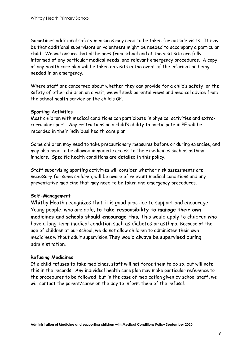Sometimes additional safety measures may need to be taken for outside visits. It may be that additional supervisors or volunteers might be needed to accompany a particular child. We will ensure that all helpers from school and at the visit site are fully informed of any particular medical needs, and relevant emergency procedures. A copy of any health care plan will be taken on visits in the event of the information being needed in an emergency.

Where staff are concerned about whether they can provide for a child's safety, or the safety of other children on a visit, we will seek parental views and medical advice from the school health service or the child's GP.

#### **Sporting Activities**

Most children with medical conditions can participate in physical activities and extracurricular sport. Any restrictions on a child's ability to participate in PE will be recorded in their individual health care plan.

Some children may need to take precautionary measures before or during exercise, and may also need to be allowed immediate access to their medicines such as asthma inhalers. Specific health conditions are detailed in this policy.

Staff supervising sporting activities will consider whether risk assessments are necessary for some children, will be aware of relevant medical conditions and any preventative medicine that may need to be taken and emergency procedures.

#### **Self-Management**

Whitby Heath recognizes that it is good practice to support and encourage Young people, who are able, **to take responsibility to manage their own medicines and schools should encourage this**. This would apply to children who have a long term medical condition such as diabetes or asthma. Because of the age of children at our school, we do not allow children to administer their own medicines without adult supervision.They would always be supervised during administration.

#### **Refusing Medicines**

If a child refuses to take medicines, staff will not force them to do so, but will note this in the records. Any individual health care plan may make particular reference to the procedures to be followed, but in the case of medication given by school staff, we will contact the parent/carer on the day to inform them of the refusal.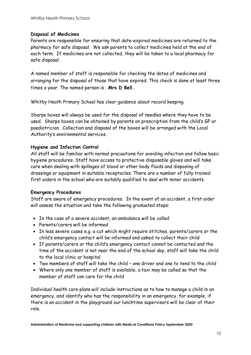#### **Disposal of Medicines**

Parents are responsible for ensuring that date-expired medicines are returned to the pharmacy for safe disposal. We ask parents to collect medicines held at the end of each term. If medicines are not collected, they will be taken to a local pharmacy for safe disposal.

A named member of staff is responsible for checking the dates of medicines and arranging for the disposal of those that have expired. This check is done at least three times a year. The named person is : **Mrs D Bell.**

Whitby Heath Primary School has clear guidance about record keeping.

Sharps boxes will always be used for the disposal of needles where they have to be used. Sharps boxes can be obtained by parents on prescription from the child's GP or paediatrician. Collection and disposal of the boxes will be arranged with the Local Authority's environmental services.

#### **Hygiene and Infection Control**

All staff will be familiar with normal precautions for avoiding infection and follow basic hygiene procedures. Staff have access to protective disposable gloves and will take care when dealing with spillages of blood or other body fluids and disposing of dressings or equipment in suitable receptacles. There are a number of fully trained first aiders in the school who are suitably qualified to deal with minor accidents.

#### **Emergency Procedures**

Staff are aware of emergency procedures. In the event of an accident, a first aider will assess the situation and take the following graduated steps:

- In the case of a severe accident, an ambulance will be called
- Parents/carers will be informed
- In less severe cases e.g. a cut which might require stitches, parents/carers or the child's emergency contact will be informed and asked to collect their child
- If parents/carers or the child's emergency contact cannot be contacted and the time of the accident is not near the end of the school day, staff will take the child to the local clinic or hospital
- Two members of staff will take the child one driver and one to tend to the child
- Where only one member of staff is available, a taxi may be called so that the member of staff can care for the child

Individual health care plans will include instructions as to how to manage a child in an emergency, and identify who has the responsibility in an emergency, for example, if there is an accident in the playground our lunchtime supervisors will be clear of their role.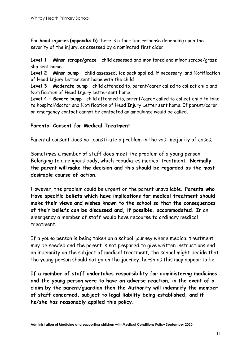For **head injuries (appendix 5)** there is a four tier response depending upon the severity of the injury, as assessed by a nominated first aider.

**Level 1 – Minor scrape/graze** – child assessed and monitored and minor scrape/graze slip sent home

**Level 2 – Minor bump –** child assessed, ice pack applied, if necessary, and Notification of Head Injury Letter sent home with the child

**Level 3 – Moderate bump** – child attended to, parent/carer called to collect child and Notification of Head Injury Letter sent home.

**Level 4 – Severe bump** - child attended to, parent/carer called to collect child to take to hospital/doctor and Notification of Head Injury Letter sent home. If parent/carer or emergency contact cannot be contacted an ambulance would be called.

#### **Parental Consent for Medical Treatment**

Parental consent does not constitute a problem in the vast majority of cases.

Sometimes a member of staff does meet the problem of a young person Belonging to a religious body, which repudiates medical treatment. **Normally the parent will make the decision and this should be regarded as the most desirable course of action.** 

However, the problem could be urgent or the parent unavailable. **Parents who Have specific beliefs which have implications for medical treatment should make their views and wishes known to the school so that the consequences of their beliefs can be discussed and, if possible, accommodated**. In an emergency a member of staff **w**ould have recourse to ordinary medical treatment.

If a young person is being taken on a school journey where medical treatment may be needed and the parent is not prepared to give written instructions and an indemnity on the subject of medical treatment, the school might decide that the young person should not go on the journey, harsh as this may appear to be.

**If a member of staff undertakes responsibility for administering medicines and the young person were to have an adverse reaction, in the event of a claim by the parent/guardian then the Authority will indemnify the member of staff concerned, subject to legal liability being established, and if he/she has reasonably applied this policy.**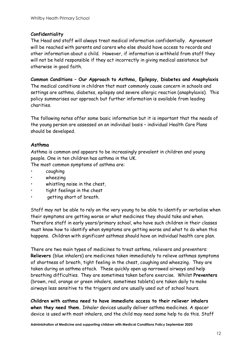#### **Confidentiality**

The Head and staff will always treat medical information confidentially. Agreement will be reached with parents and carers who else should have access to records and other information about a child. However, if information is withheld from staff they will not be held responsible if they act incorrectly in giving medical assistance but otherwise in good faith.

**Common Conditions – Our Approach to Asthma, Epilepsy, Diabetes and Anaphylaxis** The medical conditions in children that most commonly cause concern in schools and settings are asthma, diabetes, epilepsy and severe allergic reaction (anaphylaxis). This policy summarises our approach but further information is available from leading charities.

The following notes offer some basic information but it is important that the needs of the young person are assessed on an individual basis – individual Health Care Plans should be developed.

#### **Asthma**

Asthma is common and appears to be increasingly prevalent in children and young people. One in ten children has asthma in the UK.

The most common symptoms of asthma are:

- coughing
- wheezing
- whistling noise in the chest,
- tight feelings in the chest
- getting short of breath.

Staff may not be able to rely on the very young to be able to identify or verbalise when their symptoms are getting worse or what medicines they should take and when. Therefore staff in early years/primary school, who have such children in their classes must know how to identify when symptoms are getting worse and what to do when this happens. Children with significant asthmas should have an individual health care plan.

There are two main types of medicines to treat asthma, relievers and preventers: **Relievers** (blue inhalers) are medicines taken immediately to relieve asthmas symptoms of shortness of breath, tight feeling in the chest, coughing and wheezing. They are taken during an asthma attack. These quickly open up narrowed airways and help breathing difficulties. They are sometimes taken before exercise. Whilst **Preventers**  (brown, red, orange or green inhalers, sometimes tablets) are taken daily to make airways less sensitive to the triggers and are usually used out of school hours.

**Children with asthma need to have immediate access to their reliever inhalers when they need them.** Inhaler devices usually deliver asthma medicines. A spacer device is used with most inhalers, and the child may need some help to do this. Staff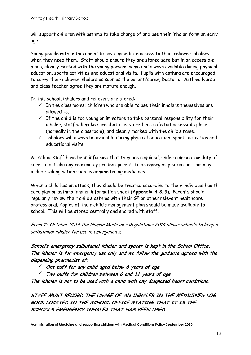will support children with asthma to take charge of and use their inhaler form an early age.

Young people with asthma need to have immediate access to their reliever inhalers when they need them. Staff should ensure they are stored safe but in an accessible place, clearly marked with the young persons name and always available during physical education, sports activities and educational visits. Pupils with asthma are encouraged to carry their reliever inhalers as soon as the parent/carer, Doctor or Asthma Nurse and class teacher agree they are mature enough.

In this school, inhalers and relievers are stored:

- $\checkmark$  In the classrooms: children who are able to use their inhalers themselves are allowed to.
- $\checkmark$  If the child is too young or immature to take personal responsibility for their inhaler, staff will make sure that it is stored in a safe but accessible place (normally in the classroom), and clearly marked with the child's name.
- $\checkmark$  Inhalers will always be available during physical education, sports activities and educational visits.

All school staff have been informed that they are required, under common law duty of care, to act like any reasonably prudent parent. In an emergency situation, this may include taking action such as administering medicines

When a child has an attack, they should be treated according to their individual health care plan or asthma inhaler information sheet (**Appendix 4 & 5**). Parents should regularly review their child's asthma with their GP or other relevant healthcare professional. Copies of their child's management plan should be made available to school. This will be stored centrally and shared with staff.

From 1<sup>st</sup> October 2014 the Human Medicines Regulations 2014 allows schools to keep a salbutamol inhaler for use in emergencies.

**School's emergency salbutamol inhaler and spacer is kept in the School Office. The inhaler is for emergency use only and we follow the guidance agreed with the dispensing pharmacist of:**

- ü **One puff for any child aged below <sup>6</sup> years of age**
- ü **Two puffs for children between <sup>6</sup> and <sup>11</sup> years of age**

**The inhaler is not to be used with <sup>a</sup> child with any diagnosed heart conditions.**

**STAFF MUST RECORD THE USAGE OF AN INHALER IN THE MEDICINES LOG BOOK LOCATED IN THE SCHOOL OFFICE STATING THAT IT IS THE SCHOOLS EMERGENCY INHALER THAT HAS BEEN USED.**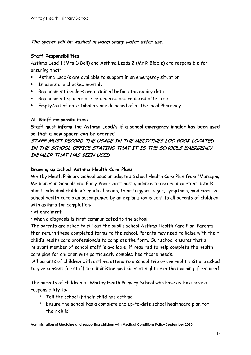#### **The spacer will be washed in warm soapy water after use.**

#### **Staff Responsibilities**

Asthma Lead 1 (Mrs D Bell) and Asthma Leads 2 (Mr R Biddle) are responsible for ensuring that:

- Asthma Lead/s are available to support in an emergency situation
- Inhalers are checked monthly
- Replacement inhalers are obtained before the expiry date
- Replacement spacers are re-ordered and replaced after use
- Empty/out of date Inhalers are disposed of at the local Pharmacy.

#### **All Staff responsibilities:**

**Staff must inform the Asthma Lead/s if a school emergency inhaler has been used so that a new spacer can be ordered**

#### **STAFF MUST RECORD THE USAGE IN THE MEDICINES LOG BOOK LOCATED IN THE SCHOOL OFFICE STATING THAT IT IS THE SCHOOLS EMERGENCY INHALER THAT HAS BEEN USED**

#### **Drawing up School Asthma Health Care Plans**

Whitby Heath Primary School uses an adapted School Health Care Plan from "Managing Medicines in Schools and Early Years Settings" guidance to record important details about individual children's medical needs, their triggers, signs, symptoms, medicines. A school health care plan accompanied by an explanation is sent to all parents of children with asthma for completion:

- at enrolment
- when a diagnosis is first communicated to the school

The parents are asked to fill out the pupil's school Asthma Health Care Plan. Parents then return these completed forms to the school. Parents may need to liaise with their child's health care professionals to complete the form. Our school ensures that a relevant member of school staff is available, if required to help complete the health care plan for children with particularly complex healthcare needs.

All parents of children with asthma attending a school trip or overnight visit are asked to give consent for staff to administer medicines at night or in the morning if required.

The parents of children at Whitby Heath Primary School who have asthma have a responsibility to:

- $\circ$  Tell the school if their child has asthma
- $\circ$  Ensure the school has a complete and up-to-date school healthcare plan for their child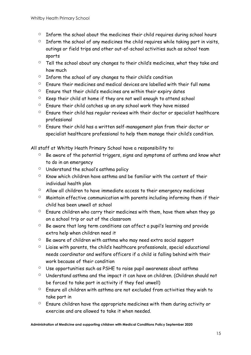- $\circ$  Inform the school about the medicines their child requires during school hours
- $\circ$  Inform the school of any medicines the child requires while taking part in visits, outings or field trips and other out-of-school activities such as school team sports
- $\degree$  Tell the school about any changes to their child's medicines, what they take and how much
- $\circ$  Inform the school of any changes to their child's condition
- $\circ$  Ensure their medicines and medical devices are labelled with their full name
- $\circ$  Ensure that their child's medicines are within their expiry dates
- $\degree$  Keep their child at home if they are not well enough to attend school
- $\circ$  Ensure their child catches up on any school work they have missed
- $\circ$  Ensure their child has regular reviews with their doctor or specialist healthcare professional
- $\circ$  Ensure their child has a written self-management plan from their doctor or specialist healthcare professional to help them manage their child's condition.

All staff at Whitby Heath Primary School have a responsibility to:

- $\degree$  Be aware of the potential triggers, signs and symptoms of asthma and know what to do in an emergency
- $\circ$  Understand the school's asthma policy
- $\degree$  Know which children have asthma and be familiar with the content of their individual health plan
- $\circ$  Allow all children to have immediate access to their emergency medicines
- $\circ$  Maintain effective communication with parents including informing them if their child has been unwell at school
- $\circ$  Ensure children who carry their medicines with them, have them when they go on a school trip or out of the classroom
- $\circ$  Be aware that long term conditions can affect a pupil's learning and provide extra help when children need it
- $\circ$  Be aware of children with asthma who may need extra social support
- $\circ$  Liaise with parents, the child's healthcare professionals, special educational needs coordinator and welfare officers if a child is falling behind with their work because of their condition
- $\circ$  Use opportunities such as PSHE to raise pupil awareness about asthma
- $\circ$  Understand asthma and the impact it can have on children. (Children should not be forced to take part in activity if they feel unwell)
- $\circ$  Ensure all children with asthma are not excluded from activities they wish to take part in
- $\circ$  Ensure children have the appropriate medicines with them during activity or exercise and are allowed to take it when needed.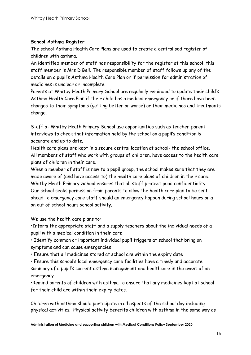#### **School Asthma Register**

The school Asthma Health Care Plans are used to create a centralised register of children with asthma.

An identified member of staff has responsibility for the register at this school, this staff member is Mrs D Bell. The responsible member of staff follows up any of the details on a pupil's Asthma Health Care Plan or if permission for administration of medicines is unclear or incomplete.

Parents at Whitby Heath Primary School are regularly reminded to update their child's Asthma Health Care Plan if their child has a medical emergency or if there have been changes to their symptoms (getting better or worse) or their medicines and treatments change.

Staff at Whitby Heath Primary School use opportunities such as teacher-parent interviews to check that information held by the school on a pupil's condition is accurate and up to date.

Health care plans are kept in a secure central location at school- the school office. All members of staff who work with groups of children, have access to the health care plans of children in their care.

When a member of staff is new to a pupil group, the school makes sure that they are made aware of (and have access to) the health care plans of children in their care. Whitby Heath Primary School ensures that all staff protect pupil confidentiality. Our school seeks permission from parents to allow the health care plan to be sent ahead to emergency care staff should an emergency happen during school hours or at an out of school hours school activity.

We use the health care plans to:

•Inform the appropriate staff and a supply teachers about the individual needs of a pupil with a medical condition in their care

• Identify common or important individual pupil triggers at school that bring on symptoms and can cause emergencies

• Ensure that all medicines stored at school are within the expiry date

• Ensure this school's local emergency care facilities have a timely and accurate summary of a pupil's current asthma management and healthcare in the event of an emergency

•Remind parents of children with asthma to ensure that any medicines kept at school for their child are within their expiry dates.

Children with asthma should participate in all aspects of the school day including physical activities. Physical activity benefits children with asthma in the same way as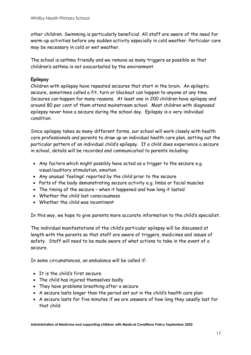other children. Swimming is particularly beneficial. All staff are aware of the need for warm-up activities before any sudden activity especially in cold weather. Particular care may be necessary in cold or wet weather.

The school is asthma friendly and we remove as many triggers as possible so that children's asthma is not exacerbated by the environment.

#### **Epilepsy**

Children with epilepsy have repeated seizures that start in the brain. An epileptic seizure, sometimes called a fit, turn or blackout can happen to anyone at any time. Seizures can happen for many reasons. At least one in 200 children have epilepsy and around 80 per cent of them attend mainstream school. Most children with diagnosed epilepsy never have a seizure during the school day. Epilepsy is a very individual condition.

Since epilepsy takes so many different forms, our school will work closely with health care professionals and parents to draw up an individual health care plan, setting out the particular pattern of an individual child's epilepsy. If a child does experience a seizure in school, details will be recorded and communicated to parents including:

- Any factors which might possibly have acted as a trigger to the seizure e.g. visual/auditory stimulation, emotion
- Any unusual 'feelings' reported by the child prior to the seizure
- Parts of the body demonstrating seizure activity e.g. limbs or facial muscles
- The timing of the seizure when it happened and how long it lasted
- Whether the child lost consciousness
- Whether the child was incontinent

In this way, we hope to give parents more accurate information to the child's specialist.

The individual manifestations of the child's particular epilepsy will be discussed at length with the parents so that staff are aware of triggers, medicines and issues of safety. Staff will need to be made aware of what actions to take in the event of a seizure.

In some circumstances, an ambulance will be called if:

- It is the child's first seizure
- The child has injured themselves badly
- They have problems breathing after a seizure
- A seizure lasts longer than the period set out in the child's health care plan
- A seizure lasts for five minutes if we are unaware of how long they usually last for that child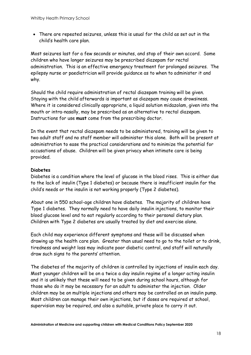• There are repeated seizures, unless this is usual for the child as set out in the child's health care plan.

Most seizures last for a few seconds or minutes, and stop of their own accord. Some children who have longer seizures may be prescribed diazepam for rectal administration. This is an effective emergency treatment for prolonged seizures. The epilepsy nurse or paediatrician will provide guidance as to when to administer it and why.

Should the child require administration of rectal diazepam training will be given. Staying with the child afterwards is important as diazepam may cause drowsiness. Where it is considered clinically appropriate, a liquid solution midazolam, given into the mouth or intra-nasally, may be prescribed as an alternative to rectal diazepam. Instructions for use **must** come from the prescribing doctor.

In the event that rectal diazepam needs to be administered, training will be given to two adult staff and no staff member will administer this alone. Both will be present at administration to ease the practical considerations and to minimize the potential for accusations of abuse. Children will be given privacy when intimate care is being provided.

#### **Diabetes**

Diabetes is a condition where the level of glucose in the blood rises. This is either due to the lack of insulin (Type 1 diabetes) or because there is insufficient insulin for the child's needs or the insulin is not working properly (Type 2 diabetes).

About one in 550 school-age children have diabetes. The majority of children have Type 1 diabetes. They normally need to have daily insulin injections, to monitor their blood glucose level and to eat regularly according to their personal dietary plan. Children with Type 2 diabetes are usually treated by diet and exercise alone.

Each child may experience different symptoms and these will be discussed when drawing up the health care plan. Greater than usual need to go to the toilet or to drink, tiredness and weight loss may indicate poor diabetic control, and staff will naturally draw such signs to the parents' attention.

The diabetes of the majority of children is controlled by injections of insulin each day. Most younger children will be on a twice a day insulin regime of a longer acting insulin and it is unlikely that these will need to be given during school hours, although for those who do it may be necessary for an adult to administer the injection. Older children may be on multiple injections and others may be controlled on an insulin pump. Most children can manage their own injections, but if doses are required at school, supervision may be required, and also a suitable, private place to carry it out.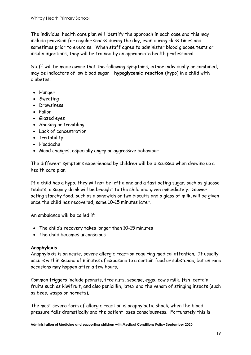The individual health care plan will identify the approach in each case and this may include provision for regular snacks during the day, even during class times and sometimes prior to exercise. When staff agree to administer blood glucose tests or insulin injections, they will be trained by an appropriate health professional.

Staff will be made aware that the following symptoms, either individually or combined, may be indicators of low blood sugar – **hypoglycemic reaction** (hypo) in a child with diabetes:

- Hunger
- Sweating
- Drowsiness
- Pallor
- Glazed eyes
- Shaking or trembling
- Lack of concentration
- Irritability
- Headache
- Mood changes, especially angry or aggressive behaviour

The different symptoms experienced by children will be discussed when drawing up a health care plan.

If a child has a hypo, they will not be left alone and a fast acting sugar, such as glucose tablets, a sugary drink will be brought to the child and given immediately. Slower acting starchy food, such as a sandwich or two biscuits and a glass of milk, will be given once the child has recovered, some 10-15 minutes later.

An ambulance will be called if:

- The child's recovery takes longer than 10-15 minutes
- The child becomes unconscious

#### **Anaphylaxis**

Anaphylaxis is an acute, severe allergic reaction requiring medical attention. It usually occurs within second of minutes of exposure to a certain food or substance, but on rare occasions may happen after a few hours.

Common triggers include peanuts, tree nuts, sesame, eggs, cow's milk, fish, certain fruits such as kiwifruit, and also penicillin, latex and the venom of stinging insects (such as bees, wasps or hornets).

The most severe form of allergic reaction is anaphylactic shock, when the blood pressure falls dramatically and the patient loses consciousness. Fortunately this is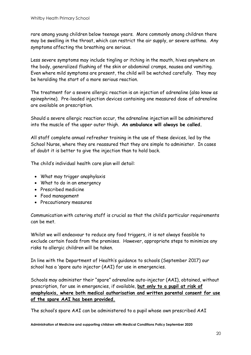rare among young children below teenage years. More commonly among children there may be swelling in the throat, which can restrict the air supply, or severe asthma. Any symptoms affecting the breathing are serious.

Less severe symptoms may include tingling or itching in the mouth, hives anywhere on the body, generalized flushing of the skin or abdominal cramps, nausea and vomiting. Even where mild symptoms are present, the child will be watched carefully. They may be heralding the start of a more serious reaction.

The treatment for a severe allergic reaction is an injection of adrenaline (also know as epinephrine). Pre-loaded injection devices containing one measured dose of adrenaline are available on prescription.

Should a severe allergic reaction occur, the adrenaline injection will be administered into the muscle of the upper outer thigh. **An ambulance will always be called.**

All staff complete annual refresher training in the use of these devices, led by the School Nurse, where they are reassured that they are simple to administer. In cases of doubt it is better to give the injection than to hold back.

The child's individual health care plan will detail:

- What may trigger anaphylaxis
- What to do in an emergency
- Prescribed medicine
- Food management
- Precautionary measures

Communication with catering staff is crucial so that the child's particular requirements can be met.

Whilst we will endeavour to reduce any food triggers, it is not always feasible to exclude certain foods from the premises. However, appropriate steps to minimize any risks to allergic children will be taken.

In line with the Department of Health's guidance to schools (September 2017) our school has a 'spare auto injector (AAI) for use in emergencies.

Schools may administer their "spare" adrenaline auto-injector (AAI), obtained, without prescription, for use in emergencies, if available, **but only to a pupil at risk of anaphylaxis, where both medical authorisation and written parental consent for use of the spare AAI has been provided.** 

The school's spare AAI can be administered to a pupil whose own prescribed AAI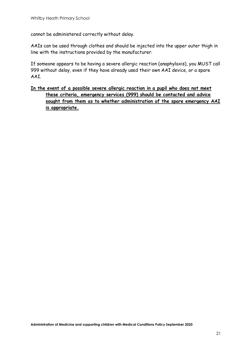cannot be administered correctly without delay.

AAIs can be used through clothes and should be injected into the upper outer thigh in line with the instructions provided by the manufacturer.

If someone appears to be having a severe allergic reaction (anaphylaxis), you MUST call 999 without delay, even if they have already used their own AAI device, or a spare AAI.

#### **In the event of a possible severe allergic reaction in a pupil who does not meet these criteria, emergency services (999) should be contacted and advice sought from them as to whether administration of the spare emergency AAI is appropriate.**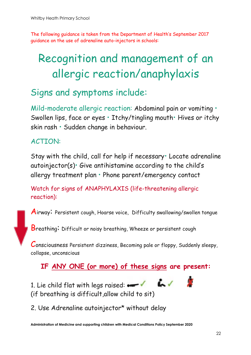The following guidance is taken from the Department of Health's September 2017 guidance on the use of adrenaline auto-injectors in schools:

# Recognition and management of an allergic reaction/anaphylaxis

# Signs and symptoms include:

Mild-moderate allergic reaction: Abdominal pain or vomiting • Swollen lips, face or eyes • Itchy/tingling mouth• Hives or itchy skin rash • Sudden change in behaviour.

# ACTION:

Stay with the child, call for help if necessary• Locate adrenaline autoinjector(s)• Give antihistamine according to the child's allergy treatment plan • Phone parent/emergency contact

Watch for signs of ANAPHYLAXIS (life-threatening allergic reaction):

Airway: Persistent cough, Hoarse voice, Difficulty swallowing/swollen tongue

Breathing: Difficult or noisy breathing, Wheeze or persistent cough

Consciousness Persistent dizziness, Becoming pale or floppy, Suddenly sleepy, collapse, unconscious

**IF ANY ONE (or more) of these signs are present:**

1. Lie child flat with legs raised:  $\bullet$ (if breathing is difficult,allow child to sit)

2. Use Adrenaline autoinjector\* without delay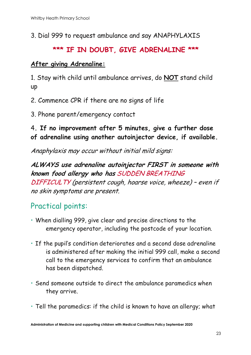3. Dial 999 to request ambulance and say ANAPHYLAXIS

# **\*\*\* IF IN DOUBT, GIVE ADRENALINE \*\*\***

## **After giving Adrenaline:**

1. Stay with child until ambulance arrives, do **NOT** stand child up

2. Commence CPR if there are no signs of life

3. Phone parent/emergency contact

# 4**. If no improvement after 5 minutes, give a further dose of adrenaline using another autoinjector device, if available.**

Anaphylaxis may occur without initial mild signs:

**ALWAYS use adrenaline autoinjector FIRST in someone with known food allergy who has** SUDDEN BREATHING DIFFICULTY (persistent cough, hoarse voice, wheeze) – even if no skin symptoms are present.

# Practical points:

- When dialling 999, give clear and precise directions to the emergency operator, including the postcode of your location.
- If the pupil's condition deteriorates and a second dose adrenaline is administered after making the initial 999 call, make a second call to the emergency services to confirm that an ambulance has been dispatched.
- Send someone outside to direct the ambulance paramedics when they arrive.
- Tell the paramedics: if the child is known to have an allergy; what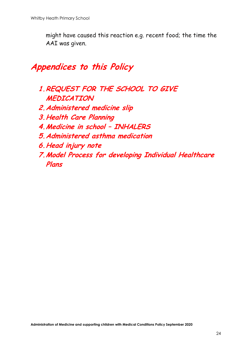might have caused this reaction e.g. recent food; the time the AAI was given.

# **Appendices to this Policy**

- **1.REQUEST FOR THE SCHOOL TO GIVE MEDICATION**
- **2.Administered medicine slip**
- **3.Health Care Planning**
- **4.Medicine in school – INHALERS**
- **5.Administered asthma medication**
- **6.Head injury note**
- **7.Model Process for developing Individual Healthcare Plans**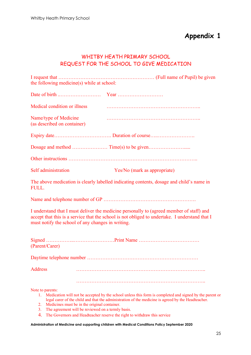#### WHITBY HEATH PRIMARY SCHOOL REQUEST FOR THE SCHOOL TO GIVE MEDICATION

I request that ………………………………………………… (Full name of Pupil) be given the following medicine(s) while at school:

| Medical condition or illness                         |                                                                                                                                                                                                               |
|------------------------------------------------------|---------------------------------------------------------------------------------------------------------------------------------------------------------------------------------------------------------------|
| Name/type of Medicine<br>(as described on container) |                                                                                                                                                                                                               |
|                                                      |                                                                                                                                                                                                               |
|                                                      |                                                                                                                                                                                                               |
|                                                      |                                                                                                                                                                                                               |
| Self administration                                  | Yes/No (mark as appropriate)                                                                                                                                                                                  |
| <b>FULL.</b>                                         | The above medication is clearly labelled indicating contents, dosage and child's name in                                                                                                                      |
|                                                      |                                                                                                                                                                                                               |
| must notify the school of any changes in writing.    | I understand that I must deliver the medicine personally to (agreed member of staff) and<br>accept that this is a service that the school is not obliged to undertake. I understand that I                    |
| (Parent/Carer)                                       |                                                                                                                                                                                                               |
|                                                      |                                                                                                                                                                                                               |
| <b>Address</b>                                       |                                                                                                                                                                                                               |
| Note to parents:                                     | Medication will not be accepted by the school unless this form is completed and signed by the parent or<br>legal carer of the child and that the administration of the medicine is agreed by the Headteacher. |

- 2. Medicines must be in the original container.
- 3. The agreement will be reviewed on a termly basis.
- 4. The Governors and Headteacher reserve the right to withdraw this service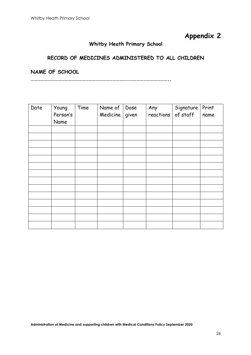#### **Whitby Heath Primary School**

#### **RECORD OF MEDICINES ADMINISTERED TO ALL CHILDREN**

**NAME OF SCHOOL** 

**…………………………………………………………………………………………………………..**

| Date | Young<br>Person's<br>Name | Time | Name of<br>Medicine | Dose<br>given | Any<br>reactions | Signature<br>of staff | Print<br>name |
|------|---------------------------|------|---------------------|---------------|------------------|-----------------------|---------------|
|      |                           |      |                     |               |                  |                       |               |
|      |                           |      |                     |               |                  |                       |               |
|      |                           |      |                     |               |                  |                       |               |
|      |                           |      |                     |               |                  |                       |               |
|      |                           |      |                     |               |                  |                       |               |
|      |                           |      |                     |               |                  |                       |               |
|      |                           |      |                     |               |                  |                       |               |
|      |                           |      |                     |               |                  |                       |               |
|      |                           |      |                     |               |                  |                       |               |
|      |                           |      |                     |               |                  |                       |               |
|      |                           |      |                     |               |                  |                       |               |
|      |                           |      |                     |               |                  |                       |               |
|      |                           |      |                     |               |                  |                       |               |
|      |                           |      |                     |               |                  |                       |               |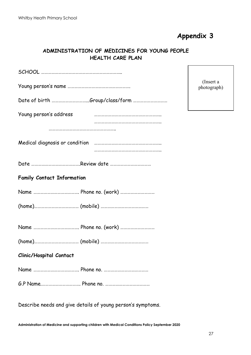#### **ADMINISTRATION OF MEDICINES FOR YOUNG PEOPLE HEALTH CARE PLAN**

|                                   | (Insert a<br>photograph) |  |  |  |
|-----------------------------------|--------------------------|--|--|--|
| Date of birth Group/class/form    |                          |  |  |  |
| Young person's address            |                          |  |  |  |
|                                   |                          |  |  |  |
|                                   |                          |  |  |  |
|                                   |                          |  |  |  |
| <b>Family Contact Information</b> |                          |  |  |  |
|                                   |                          |  |  |  |
|                                   |                          |  |  |  |
|                                   |                          |  |  |  |
|                                   |                          |  |  |  |
| <b>Clinic/Hospital Contact</b>    |                          |  |  |  |
|                                   |                          |  |  |  |
|                                   |                          |  |  |  |
|                                   |                          |  |  |  |

Describe needs and give details of young person's symptoms.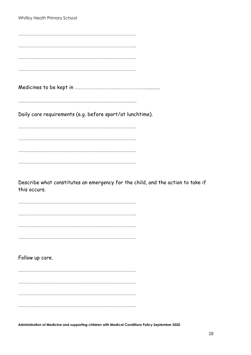| Whitby Heath Primary School                                                     |  |
|---------------------------------------------------------------------------------|--|
|                                                                                 |  |
|                                                                                 |  |
|                                                                                 |  |
|                                                                                 |  |
|                                                                                 |  |
|                                                                                 |  |
|                                                                                 |  |
|                                                                                 |  |
|                                                                                 |  |
|                                                                                 |  |
| Daily care requirements (e.g. before sport/at lunchtime).                       |  |
|                                                                                 |  |
|                                                                                 |  |
|                                                                                 |  |
|                                                                                 |  |
|                                                                                 |  |
|                                                                                 |  |
|                                                                                 |  |
|                                                                                 |  |
| Describe what constitutes an emergency for the child, and the action to take if |  |
| this occurs.                                                                    |  |
|                                                                                 |  |
|                                                                                 |  |
|                                                                                 |  |
|                                                                                 |  |
|                                                                                 |  |
|                                                                                 |  |
|                                                                                 |  |
| Follow up care.                                                                 |  |
|                                                                                 |  |
|                                                                                 |  |
|                                                                                 |  |
|                                                                                 |  |
|                                                                                 |  |
|                                                                                 |  |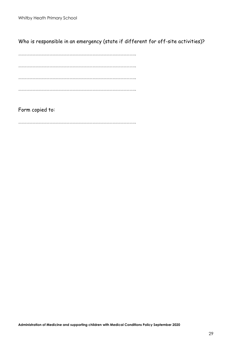Who is responsible in an emergency (state if different for off-site activities)?

……………………………………………………………………………………………………………. ……………………………………………………………………………………………………………. …………………………………………………………………………………………………………….

…………………………………………………………………………………………………………….

Form copied to:

…………………………………………………………………………………………………………….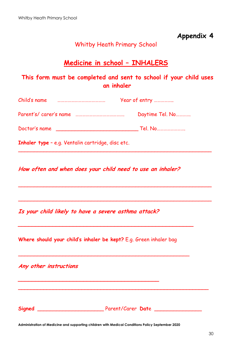### Whitby Heath Primary School

# **Medicine in school – INHALERS**

### **This form must be completed and sent to school if your child uses an inhaler**

| Child's name           | Year of entry   |  |  |
|------------------------|-----------------|--|--|
| Parent's/ carer's name | Daytime Tel. No |  |  |
| Doctor's name          | Tel. No         |  |  |

\_\_\_\_\_\_\_\_\_\_\_\_\_\_\_\_\_\_\_\_\_\_\_\_\_\_\_\_\_\_\_\_\_\_\_\_\_\_\_\_\_\_\_\_\_\_\_\_\_\_\_\_\_\_\_\_\_\_\_\_\_

\_\_\_\_\_\_\_\_\_\_\_\_\_\_\_\_\_\_\_\_\_\_\_\_\_\_\_\_\_\_\_\_\_\_\_\_\_\_\_\_\_\_\_\_\_\_\_\_\_\_\_\_\_\_\_\_\_\_\_\_\_

\_\_\_\_\_\_\_\_\_\_\_\_\_\_\_\_\_\_\_\_\_\_\_\_\_\_\_\_\_\_\_\_\_\_\_\_\_\_\_\_\_\_\_\_\_\_\_\_\_\_\_\_\_\_\_\_\_\_\_\_\_

**Inhaler type** – e.g. Ventalin cartridge, disc etc.

**How often and when does your child need to use an inhaler?** 

**Is your child likely to have a severe asthma attack?** 

**\_\_\_\_\_\_\_\_\_\_\_\_\_\_\_\_\_\_\_\_\_\_\_\_\_\_\_\_\_\_\_\_\_\_\_\_\_\_\_\_\_**

**Where should your child's inhaler be kept?** E.g. Green inhaler bag

**\_\_\_\_\_\_\_\_\_\_\_\_\_\_\_\_\_\_\_\_\_\_\_\_\_\_\_\_\_\_\_\_\_\_\_\_\_\_\_\_\_\_\_\_\_\_\_\_\_\_\_**

\_\_\_\_\_\_\_\_\_\_\_\_\_\_\_\_\_\_\_\_\_\_\_\_\_\_\_\_\_\_\_\_\_\_\_\_\_\_\_\_\_\_\_\_\_\_\_\_\_\_\_\_\_\_

**\_\_\_\_\_\_\_\_\_\_\_\_\_\_\_\_\_\_\_\_\_\_\_\_\_\_\_\_\_\_\_\_\_\_\_\_\_\_\_\_\_\_\_\_\_\_\_\_\_\_\_\_\_\_\_\_\_\_\_\_**

**Any other instructions** 

**Signed** \_\_\_\_\_\_\_\_\_\_\_\_\_\_\_\_\_\_\_\_\_ Parent/Carer **Dat**e \_\_\_\_\_\_\_\_\_\_\_\_\_\_\_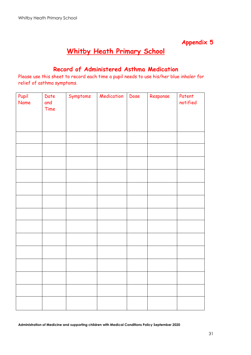# **Whitby Heath Primary School**

### **Record of Administered Asthma Medication**

Please use this sheet to record each time a pupil needs to use his/her blue inhaler for relief of asthma symptoms.

| Pupil<br>Name | Date<br>and | Symptoms | Medication | Dose | Response | Patent<br>notified |
|---------------|-------------|----------|------------|------|----------|--------------------|
|               | Time        |          |            |      |          |                    |
|               |             |          |            |      |          |                    |
|               |             |          |            |      |          |                    |
|               |             |          |            |      |          |                    |
|               |             |          |            |      |          |                    |
|               |             |          |            |      |          |                    |
|               |             |          |            |      |          |                    |
|               |             |          |            |      |          |                    |
|               |             |          |            |      |          |                    |
|               |             |          |            |      |          |                    |
|               |             |          |            |      |          |                    |
|               |             |          |            |      |          |                    |
|               |             |          |            |      |          |                    |
|               |             |          |            |      |          |                    |
|               |             |          |            |      |          |                    |
|               |             |          |            |      |          |                    |
|               |             |          |            |      |          |                    |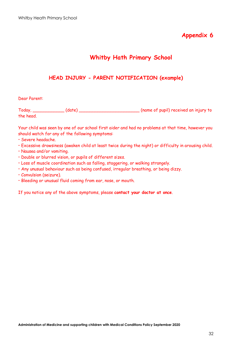### **Whitby Hath Primary School**

#### **HEAD INJURY - PARENT NOTIFICATION (example)**

#### Dear Parent:

Today, \_\_\_\_\_\_\_\_\_\_\_\_ (date) \_\_\_\_\_\_\_\_\_\_\_\_\_\_\_\_\_\_\_\_\_\_\_ (name of pupil) received an injury to the head.

Your child was seen by one of our school first aider and had no problems at that time, however you should watch for any of the following symptoms:

- Severe headache.
- Excessive drowsiness (awaken child at least twice during the night) or difficulty in arousing child.
- Nausea and/or vomiting.
- Double or blurred vision, or pupils of different sizes.
- Loss of muscle coordination such as falling, staggering, or walking strangely.
- Any unusual behaviour such as being confused, irregular breathing, or being dizzy.
- Convulsion (seizure).
- Bleeding or unusual fluid coming from ear, nose, or mouth.

If you notice any of the above symptoms, please **contact your doctor at once**.